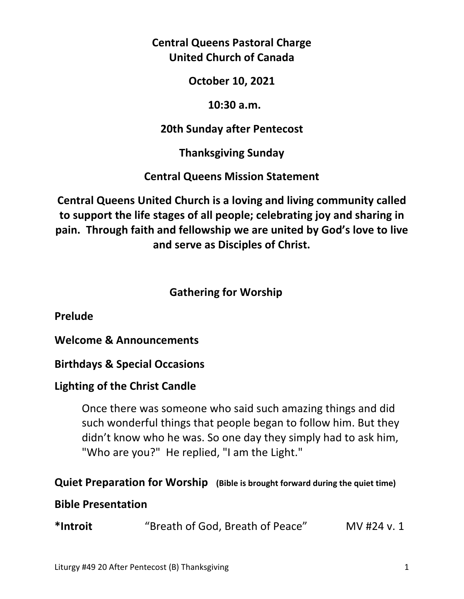**Central Queens Pastoral Charge United Church of Canada** 

**October 10, 2021** 

 **10:30 a.m.** 

**20th Sunday after Pentecost** 

**Thanksgiving Sunday** 

**Central Queens Mission Statement** 

**Central Queens United Church is a loving and living community called to support the life stages of all people; celebrating joy and sharing in pain. Through faith and fellowship we are united by God's love to live and serve as Disciples of Christ.**

# **Gathering for Worship**

**Prelude** 

**Welcome & Announcements** 

**Birthdays & Special Occasions** 

## **Lighting of the Christ Candle**

 Once there was someone who said such amazing things and did such wonderful things that people began to follow him. But they didn't know who he was. So one day they simply had to ask him, "Who are you?" He replied, "I am the Light."

## **Quiet Preparation for Worship (Bible is brought forward during the quiet time)**

### **Bible Presentation**

**\*Introit** "Breath of God, Breath of Peace" MV #24 v. 1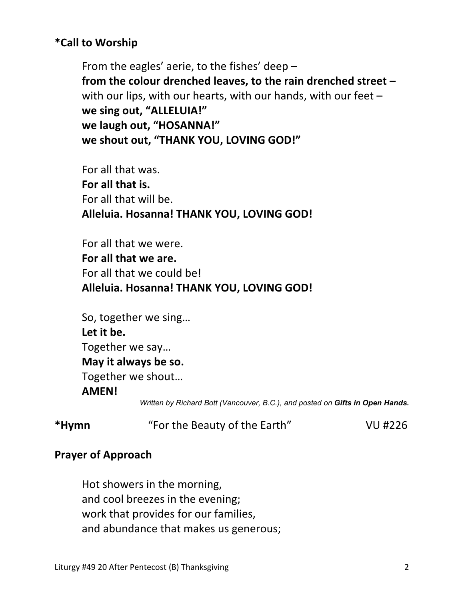## **\*Call to Worship**

 From the eagles' aerie, to the fishes' deep –  **from the colour drenched leaves, to the rain drenched street –**  with our lips, with our hearts, with our hands, with our feet –  **we sing out, "ALLELUIA!" we laugh out, "HOSANNA!" we shout out, "THANK YOU, LOVING GOD!"** 

 For all that was.  **For all that is.**  For all that will be.  **Alleluia. Hosanna! THANK YOU, LOVING GOD!** 

 For all that we were.  **For all that we are.**  For all that we could be!  **Alleluia. Hosanna! THANK YOU, LOVING GOD!** 

 So, together we sing…  **Let it be.**  Together we say…  **May it always be so.**  Together we shout…  **AMEN!**  *Written by Richard Bott (Vancouver, B.C.), and posted on Gifts in Open Hands.* 

**\*Hymn** "For the Beauty of the Earth" VU #226

### **Prayer of Approach**

Hot showers in the morning, and cool breezes in the evening; work that provides for our families, and abundance that makes us generous;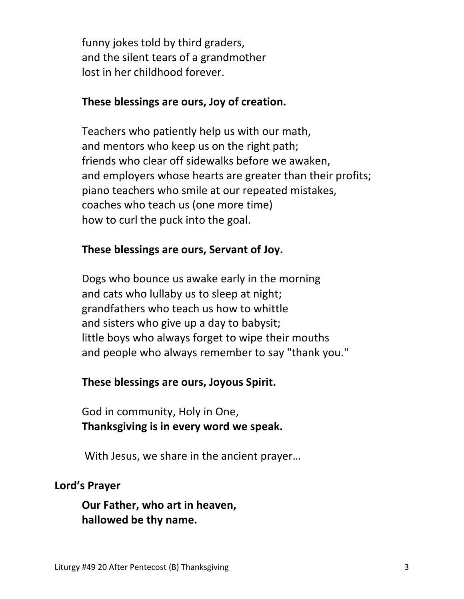funny jokes told by third graders, and the silent tears of a grandmother lost in her childhood forever.

#### **These blessings are ours, Joy of creation.**

 Teachers who patiently help us with our math, and mentors who keep us on the right path; friends who clear off sidewalks before we awaken, and employers whose hearts are greater than their profits; piano teachers who smile at our repeated mistakes, coaches who teach us (one more time) how to curl the puck into the goal.

## **These blessings are ours, Servant of Joy.**

 Dogs who bounce us awake early in the morning and cats who lullaby us to sleep at night; grandfathers who teach us how to whittle and sisters who give up a day to babysit; little boys who always forget to wipe their mouths and people who always remember to say "thank you."

### **These blessings are ours, Joyous Spirit.**

God in community, Holy in One,  **Thanksgiving is in every word we speak.** 

With Jesus, we share in the ancient prayer…

### **Lord's Prayer**

**Our Father, who art in heaven, hallowed be thy name.**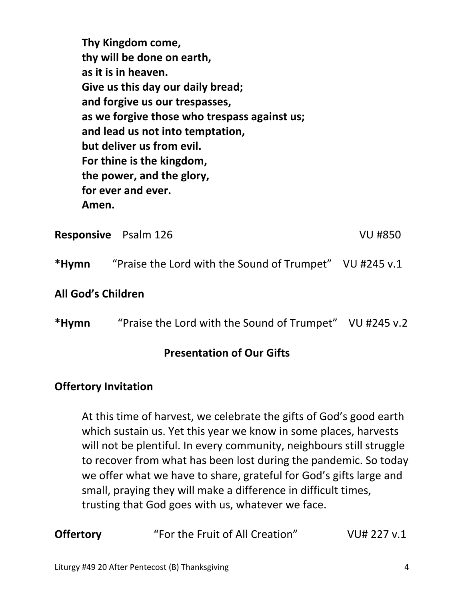**Thy Kingdom come, thy will be done on earth, as it is in heaven. Give us this day our daily bread; and forgive us our trespasses, as we forgive those who trespass against us; and lead us not into temptation, but deliver us from evil. For thine is the kingdom, the power, and the glory, for ever and ever. Amen.** 

|       | <b>Responsive</b> Psalm 126                             | <b>VU #850</b> |
|-------|---------------------------------------------------------|----------------|
| *Hymn | "Praise the Lord with the Sound of Trumpet" VU #245 v.1 |                |

#### **All God's Children**

**\*Hymn** "Praise the Lord with the Sound of Trumpet" VU #245 v.2

#### **Presentation of Our Gifts**

#### **Offertory Invitation**

 At this time of harvest, we celebrate the gifts of God's good earth which sustain us. Yet this year we know in some places, harvests will not be plentiful. In every community, neighbours still struggle to recover from what has been lost during the pandemic. So today we offer what we have to share, grateful for God's gifts large and small, praying they will make a difference in difficult times, trusting that God goes with us, whatever we face.

| <b>Offertory</b> | "For the Fruit of All Creation" | VU# 227 v.1 |
|------------------|---------------------------------|-------------|
|------------------|---------------------------------|-------------|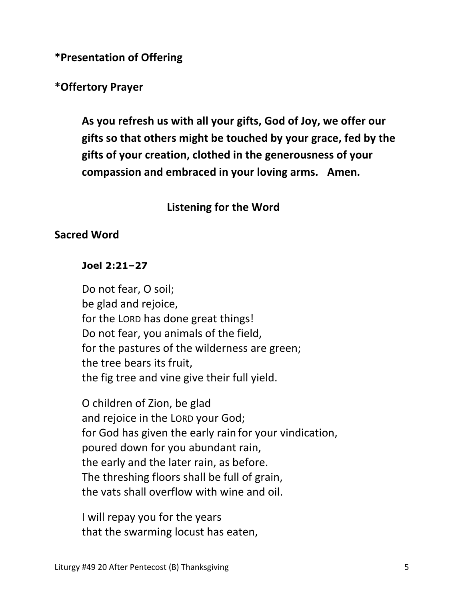**\*Presentation of Offering** 

### **\*Offertory Prayer**

 **As you refresh us with all your gifts, God of Joy, we offer our gifts so that others might be touched by your grace, fed by the gifts of your creation, clothed in the generousness of your compassion and embraced in your loving arms. Amen.** 

### **Listening for the Word**

#### **Sacred Word**

#### **Joel 2:21–27**

Do not fear, O soil; be glad and rejoice, for the LORD has done great things! Do not fear, you animals of the field, for the pastures of the wilderness are green; the tree bears its fruit, the fig tree and vine give their full yield.

O children of Zion, be glad and rejoice in the LORD your God; for God has given the early rain for your vindication, poured down for you abundant rain, the early and the later rain, as before. The threshing floors shall be full of grain, the vats shall overflow with wine and oil.

I will repay you for the years that the swarming locust has eaten,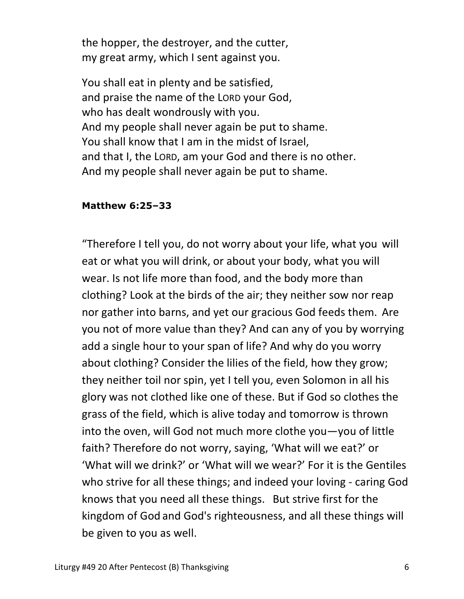the hopper, the destroyer, and the cutter, my great army, which I sent against you.

You shall eat in plenty and be satisfied, and praise the name of the LORD your God, who has dealt wondrously with you. And my people shall never again be put to shame. You shall know that I am in the midst of Israel, and that I, the LORD, am your God and there is no other. And my people shall never again be put to shame.

#### **Matthew 6:25–33**

 "Therefore I tell you, do not worry about your life, what you will eat or what you will drink, or about your body, what you will wear. Is not life more than food, and the body more than clothing? Look at the birds of the air; they neither sow nor reap nor gather into barns, and yet our gracious God feeds them. Are you not of more value than they? And can any of you by worrying add a single hour to your span of life? And why do you worry about clothing? Consider the lilies of the field, how they grow; they neither toil nor spin, yet I tell you, even Solomon in all his glory was not clothed like one of these. But if God so clothes the grass of the field, which is alive today and tomorrow is thrown into the oven, will God not much more clothe you—you of little faith? Therefore do not worry, saying, 'What will we eat?' or 'What will we drink?' or 'What will we wear?' For it is the Gentiles who strive for all these things; and indeed your loving - caring God knows that you need all these things. But strive first for the kingdom of God and God's righteousness, and all these things will be given to you as well.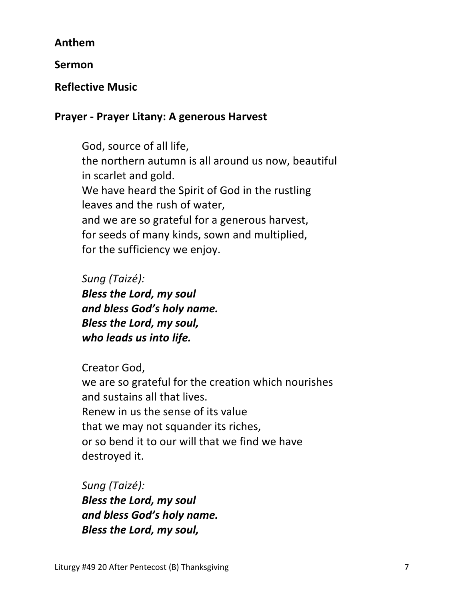### **Anthem**

**Sermon** 

### **Reflective Music**

### **Prayer - Prayer Litany: A generous Harvest**

 God, source of all life, the northern autumn is all around us now, beautiful in scarlet and gold. We have heard the Spirit of God in the rustling leaves and the rush of water, and we are so grateful for a generous harvest, for seeds of many kinds, sown and multiplied, for the sufficiency we enjoy.

 *Sung (Taizé): Bless the Lord, my soul and bless God's holy name. Bless the Lord, my soul, who leads us into life.*

Creator God,

 we are so grateful for the creation which nourishes and sustains all that lives. Renew in us the sense of its value that we may not squander its riches, or so bend it to our will that we find we have destroyed it.

 *Sung (Taizé): Bless the Lord, my soul and bless God's holy name. Bless the Lord, my soul,*